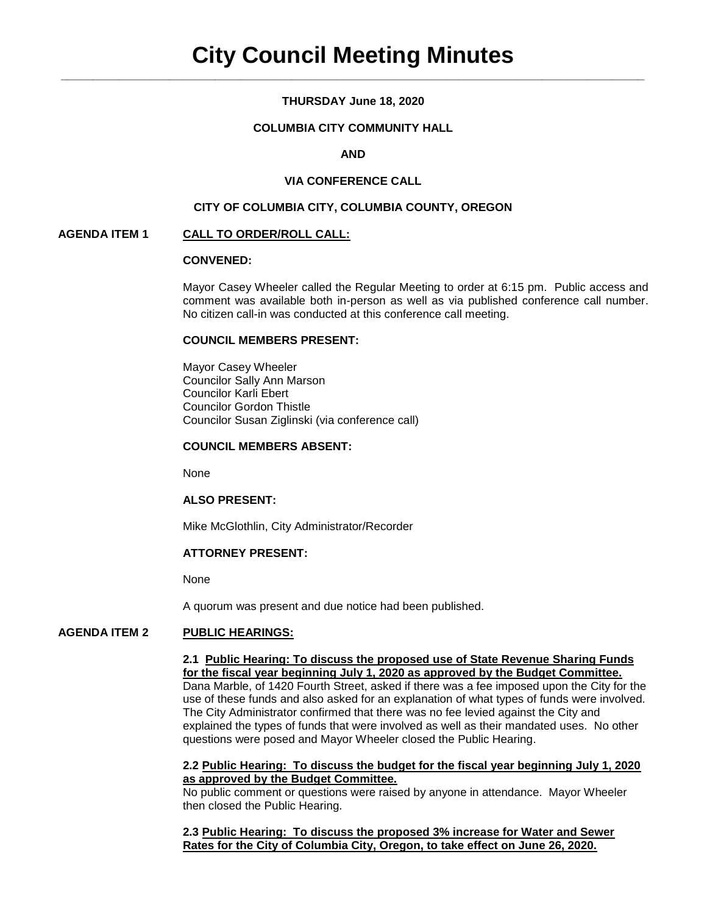# **THURSDAY June 18, 2020**

# **COLUMBIA CITY COMMUNITY HALL**

# **AND**

### **VIA CONFERENCE CALL**

#### **CITY OF COLUMBIA CITY, COLUMBIA COUNTY, OREGON**

### **AGENDA ITEM 1 CALL TO ORDER/ROLL CALL:**

# **CONVENED:**

Mayor Casey Wheeler called the Regular Meeting to order at 6:15 pm. Public access and comment was available both in-person as well as via published conference call number. No citizen call-in was conducted at this conference call meeting.

#### **COUNCIL MEMBERS PRESENT:**

Mayor Casey Wheeler Councilor Sally Ann Marson Councilor Karli Ebert Councilor Gordon Thistle Councilor Susan Ziglinski (via conference call)

### **COUNCIL MEMBERS ABSENT:**

None

#### **ALSO PRESENT:**

Mike McGlothlin, City Administrator/Recorder

# **ATTORNEY PRESENT:**

None

A quorum was present and due notice had been published.

## **AGENDA ITEM 2 PUBLIC HEARINGS:**

### **2.1 Public Hearing: To discuss the proposed use of State Revenue Sharing Funds for the fiscal year beginning July 1, 2020 as approved by the Budget Committee.** Dana Marble, of 1420 Fourth Street, asked if there was a fee imposed upon the City for the use of these funds and also asked for an explanation of what types of funds were involved. The City Administrator confirmed that there was no fee levied against the City and explained the types of funds that were involved as well as their mandated uses. No other questions were posed and Mayor Wheeler closed the Public Hearing.

### **2.2 Public Hearing: To discuss the budget for the fiscal year beginning July 1, 2020 as approved by the Budget Committee.**

No public comment or questions were raised by anyone in attendance. Mayor Wheeler then closed the Public Hearing.

**2.3 Public Hearing: To discuss the proposed 3% increase for Water and Sewer Rates for the City of Columbia City, Oregon, to take effect on June 26, 2020.**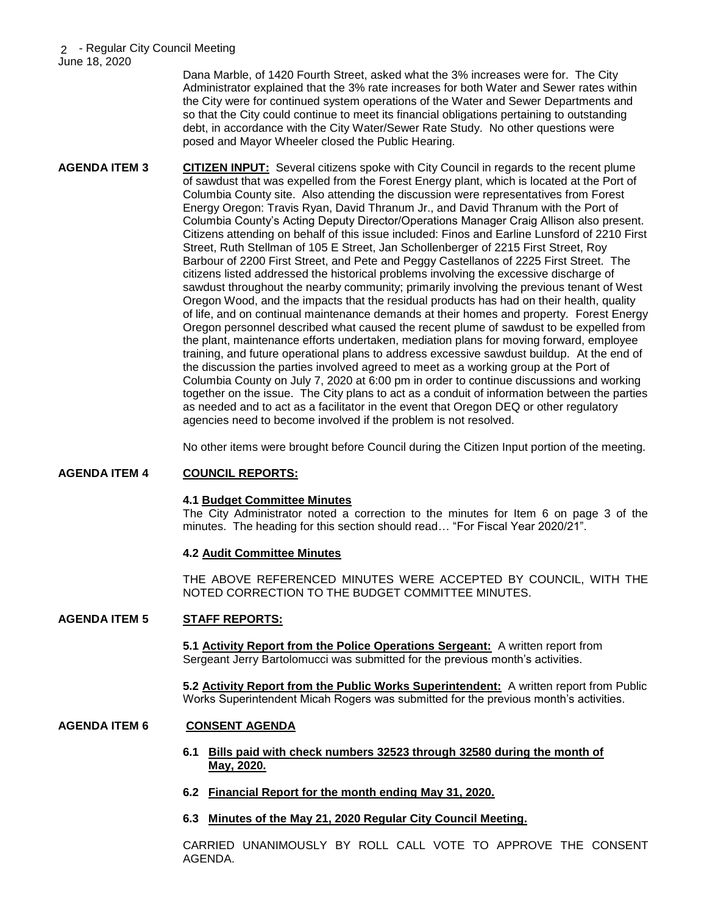Dana Marble, of 1420 Fourth Street, asked what the 3% increases were for. The City Administrator explained that the 3% rate increases for both Water and Sewer rates within the City were for continued system operations of the Water and Sewer Departments and so that the City could continue to meet its financial obligations pertaining to outstanding debt, in accordance with the City Water/Sewer Rate Study. No other questions were posed and Mayor Wheeler closed the Public Hearing.

**AGENDA ITEM 3 CITIZEN INPUT:** Several citizens spoke with City Council in regards to the recent plume of sawdust that was expelled from the Forest Energy plant, which is located at the Port of Columbia County site. Also attending the discussion were representatives from Forest Energy Oregon: Travis Ryan, David Thranum Jr., and David Thranum with the Port of Columbia County's Acting Deputy Director/Operations Manager Craig Allison also present. Citizens attending on behalf of this issue included: Finos and Earline Lunsford of 2210 First Street, Ruth Stellman of 105 E Street, Jan Schollenberger of 2215 First Street, Roy Barbour of 2200 First Street, and Pete and Peggy Castellanos of 2225 First Street. The citizens listed addressed the historical problems involving the excessive discharge of sawdust throughout the nearby community; primarily involving the previous tenant of West Oregon Wood, and the impacts that the residual products has had on their health, quality of life, and on continual maintenance demands at their homes and property. Forest Energy Oregon personnel described what caused the recent plume of sawdust to be expelled from the plant, maintenance efforts undertaken, mediation plans for moving forward, employee training, and future operational plans to address excessive sawdust buildup. At the end of the discussion the parties involved agreed to meet as a working group at the Port of Columbia County on July 7, 2020 at 6:00 pm in order to continue discussions and working together on the issue. The City plans to act as a conduit of information between the parties as needed and to act as a facilitator in the event that Oregon DEQ or other regulatory agencies need to become involved if the problem is not resolved.

No other items were brought before Council during the Citizen Input portion of the meeting.

# **AGENDA ITEM 4 COUNCIL REPORTS:**

# **4.1 Budget Committee Minutes**

The City Administrator noted a correction to the minutes for Item 6 on page 3 of the minutes. The heading for this section should read… "For Fiscal Year 2020/21".

# **4.2 Audit Committee Minutes**

THE ABOVE REFERENCED MINUTES WERE ACCEPTED BY COUNCIL, WITH THE NOTED CORRECTION TO THE BUDGET COMMITTEE MINUTES.

# **AGENDA ITEM 5 STAFF REPORTS:**

**5.1 Activity Report from the Police Operations Sergeant:** A written report from Sergeant Jerry Bartolomucci was submitted for the previous month's activities.

**5.2 Activity Report from the Public Works Superintendent:** A written report from Public Works Superintendent Micah Rogers was submitted for the previous month's activities.

# **AGENDA ITEM 6 CONSENT AGENDA**

- **6.1 Bills paid with check numbers 32523 through 32580 during the month of May, 2020.**
- **6.2 Financial Report for the month ending May 31, 2020.**
- **6.3 Minutes of the May 21, 2020 Regular City Council Meeting.**

CARRIED UNANIMOUSLY BY ROLL CALL VOTE TO APPROVE THE CONSENT AGENDA.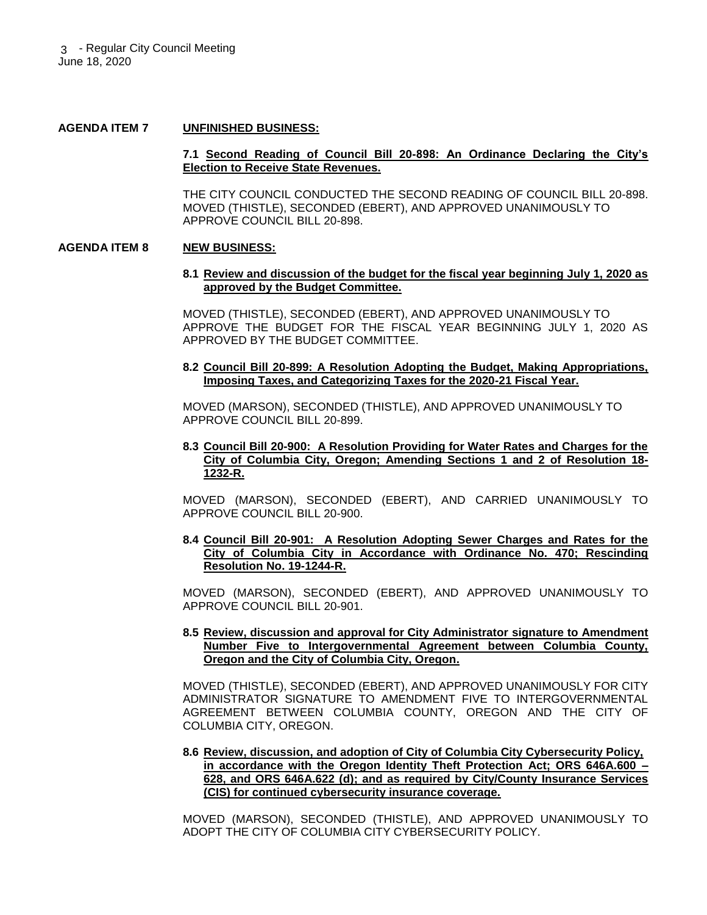#### **AGENDA ITEM 7 UNFINISHED BUSINESS:**

### **7.1 Second Reading of Council Bill 20-898: An Ordinance Declaring the City's Election to Receive State Revenues.**

THE CITY COUNCIL CONDUCTED THE SECOND READING OF COUNCIL BILL 20-898. MOVED (THISTLE), SECONDED (EBERT), AND APPROVED UNANIMOUSLY TO APPROVE COUNCIL BILL 20-898.

### **AGENDA ITEM 8 NEW BUSINESS:**

#### **8.1 Review and discussion of the budget for the fiscal year beginning July 1, 2020 as approved by the Budget Committee.**

MOVED (THISTLE), SECONDED (EBERT), AND APPROVED UNANIMOUSLY TO APPROVE THE BUDGET FOR THE FISCAL YEAR BEGINNING JULY 1, 2020 AS APPROVED BY THE BUDGET COMMITTEE.

# **8.2 Council Bill 20-899: A Resolution Adopting the Budget, Making Appropriations, Imposing Taxes, and Categorizing Taxes for the 2020-21 Fiscal Year.**

MOVED (MARSON), SECONDED (THISTLE), AND APPROVED UNANIMOUSLY TO APPROVE COUNCIL BILL 20-899.

# **8.3 Council Bill 20-900: A Resolution Providing for Water Rates and Charges for the City of Columbia City, Oregon; Amending Sections 1 and 2 of Resolution 18- 1232-R.**

MOVED (MARSON), SECONDED (EBERT), AND CARRIED UNANIMOUSLY TO APPROVE COUNCIL BILL 20-900.

## **8.4 Council Bill 20-901: A Resolution Adopting Sewer Charges and Rates for the City of Columbia City in Accordance with Ordinance No. 470; Rescinding Resolution No. 19-1244-R.**

MOVED (MARSON), SECONDED (EBERT), AND APPROVED UNANIMOUSLY TO APPROVE COUNCIL BILL 20-901.

# **8.5 Review, discussion and approval for City Administrator signature to Amendment Number Five to Intergovernmental Agreement between Columbia County, Oregon and the City of Columbia City, Oregon.**

MOVED (THISTLE), SECONDED (EBERT), AND APPROVED UNANIMOUSLY FOR CITY ADMINISTRATOR SIGNATURE TO AMENDMENT FIVE TO INTERGOVERNMENTAL AGREEMENT BETWEEN COLUMBIA COUNTY, OREGON AND THE CITY OF COLUMBIA CITY, OREGON.

### **8.6 Review, discussion, and adoption of City of Columbia City Cybersecurity Policy, in accordance with the Oregon Identity Theft Protection Act; ORS 646A.600 – 628, and ORS 646A.622 (d); and as required by City/County Insurance Services (CIS) for continued cybersecurity insurance coverage.**

MOVED (MARSON), SECONDED (THISTLE), AND APPROVED UNANIMOUSLY TO ADOPT THE CITY OF COLUMBIA CITY CYBERSECURITY POLICY.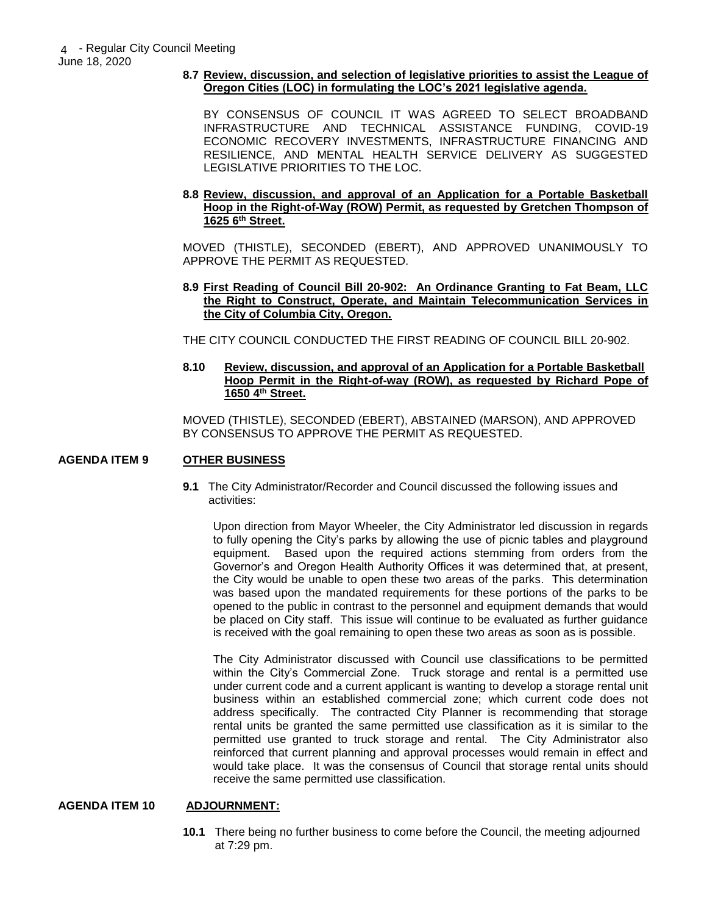# **8.7 Review, discussion, and selection of legislative priorities to assist the League of Oregon Cities (LOC) in formulating the LOC's 2021 legislative agenda.**

BY CONSENSUS OF COUNCIL IT WAS AGREED TO SELECT BROADBAND INFRASTRUCTURE AND TECHNICAL ASSISTANCE FUNDING, COVID-19 ECONOMIC RECOVERY INVESTMENTS, INFRASTRUCTURE FINANCING AND RESILIENCE, AND MENTAL HEALTH SERVICE DELIVERY AS SUGGESTED LEGISLATIVE PRIORITIES TO THE LOC.

# **8.8 Review, discussion, and approval of an Application for a Portable Basketball Hoop in the Right-of-Way (ROW) Permit, as requested by Gretchen Thompson of 1625 6th Street.**

MOVED (THISTLE), SECONDED (EBERT), AND APPROVED UNANIMOUSLY TO APPROVE THE PERMIT AS REQUESTED.

# **8.9 First Reading of Council Bill 20-902: An Ordinance Granting to Fat Beam, LLC the Right to Construct, Operate, and Maintain Telecommunication Services in the City of Columbia City, Oregon.**

THE CITY COUNCIL CONDUCTED THE FIRST READING OF COUNCIL BILL 20-902.

# **8.10 Review, discussion, and approval of an Application for a Portable Basketball Hoop Permit in the Right-of-way (ROW), as requested by Richard Pope of 1650 4th Street.**

MOVED (THISTLE), SECONDED (EBERT), ABSTAINED (MARSON), AND APPROVED BY CONSENSUS TO APPROVE THE PERMIT AS REQUESTED.

# **AGENDA ITEM 9 OTHER BUSINESS**

**9.1** The City Administrator/Recorder and Council discussed the following issues and activities:

Upon direction from Mayor Wheeler, the City Administrator led discussion in regards to fully opening the City's parks by allowing the use of picnic tables and playground equipment. Based upon the required actions stemming from orders from the Governor's and Oregon Health Authority Offices it was determined that, at present, the City would be unable to open these two areas of the parks. This determination was based upon the mandated requirements for these portions of the parks to be opened to the public in contrast to the personnel and equipment demands that would be placed on City staff. This issue will continue to be evaluated as further guidance is received with the goal remaining to open these two areas as soon as is possible.

The City Administrator discussed with Council use classifications to be permitted within the City's Commercial Zone. Truck storage and rental is a permitted use under current code and a current applicant is wanting to develop a storage rental unit business within an established commercial zone; which current code does not address specifically. The contracted City Planner is recommending that storage rental units be granted the same permitted use classification as it is similar to the permitted use granted to truck storage and rental. The City Administrator also reinforced that current planning and approval processes would remain in effect and would take place. It was the consensus of Council that storage rental units should receive the same permitted use classification.

# **AGENDA ITEM 10 ADJOURNMENT:**

**10.1** There being no further business to come before the Council, the meeting adjourned at 7:29 pm.